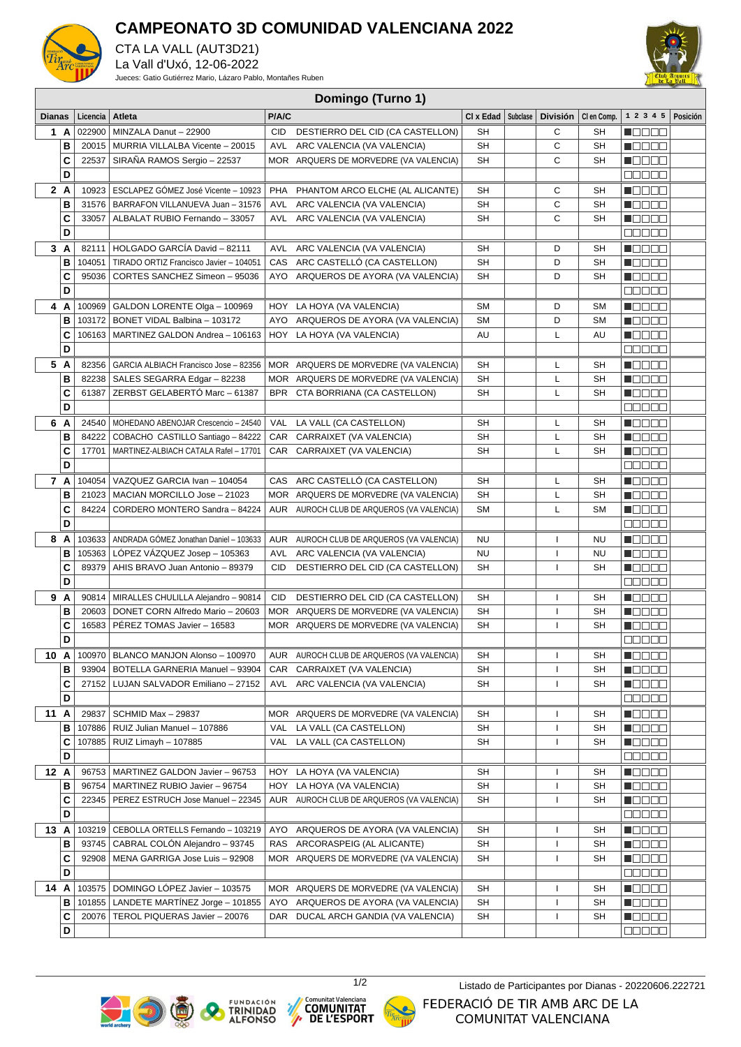

## **CAMPEONATO 3D COMUNIDAD VALENCIANA 2022**

CTA LA VALL (AUT3D21) La Vall d'Uxó, 12-06-2022

Jueces: Gatio Gutiérrez Mario, Lázaro Pablo, Montañes Ruben



## **Domingo (Turno 1)**

| <b>Dianas</b> |        | Licencia | Atleta                                                                                   | P/A/C |                                                                    | CI x Edad       | Subclase | <b>División</b>    | CI en Comp. | $1 \t2 \t3 \t4 \t5$ Posición       |  |
|---------------|--------|----------|------------------------------------------------------------------------------------------|-------|--------------------------------------------------------------------|-----------------|----------|--------------------|-------------|------------------------------------|--|
| 1 A           |        | 022900   | MINZALA Danut - 22900                                                                    | CID   | DESTIERRO DEL CID (CA CASTELLON)                                   | <b>SH</b>       |          | С                  | SН          | N E E E E                          |  |
|               | в      |          | 20015   MURRIA VILLALBA Vicente - 20015                                                  |       | AVL ARC VALENCIA (VA VALENCIA)                                     | <b>SH</b>       |          | C                  | <b>SH</b>   | <b>Macao</b>                       |  |
|               | C      | 22537    | SIRANA RAMOS Sergio - 22537                                                              |       | MOR ARQUERS DE MORVEDRE (VA VALENCIA)                              | <b>SH</b>       |          | C                  | SH          | N DE BE                            |  |
|               | D      |          |                                                                                          |       |                                                                    |                 |          |                    |             | <b>BOOOO</b>                       |  |
| 2A            |        | 10923    | ESCLAPEZ GÓMEZ José Vicente - 10923                                                      |       | PHA PHANTOM ARCO ELCHE (AL ALICANTE)                               | SH              |          | С                  | <b>SH</b>   | M O O O O                          |  |
|               | в      | 31576    | BARRAFON VILLANUEVA Juan - 31576                                                         |       | AVL ARC VALENCIA (VA VALENCIA)                                     | <b>SH</b>       |          | С                  | SΗ          | <b>Maaaa</b>                       |  |
|               | C      | 33057    | ALBALAT RUBIO Fernando - 33057                                                           |       | AVL ARC VALENCIA (VA VALENCIA)                                     | <b>SH</b>       |          | С                  | SН          | <b>NODER</b>                       |  |
|               | D      |          |                                                                                          |       |                                                                    |                 |          |                    |             | $\Box$ $\Box$ $\Box$ $\Box$ $\Box$ |  |
| 3A            |        | 82111    | HOLGADO GARCÍA David - 82111                                                             |       | AVL ARC VALENCIA (VA VALENCIA)                                     | SH              |          | D                  | SH          | MOO OO                             |  |
|               | в      | 104051   | TIRADO ORTIZ Francisco Javier - 104051                                                   |       | CAS ARC CASTELLO (CA CASTELLON)                                    | SH              |          | D                  | SΗ          | MOO OO U                           |  |
|               | C      | 95036    | CORTES SANCHEZ Simeon - 95036                                                            |       | AYO ARQUEROS DE AYORA (VA VALENCIA)                                | SН              |          | D                  | SH          | <b>Maaaa</b>                       |  |
|               | D      |          |                                                                                          |       |                                                                    |                 |          |                    |             | 00000                              |  |
| 4 A           |        | 100969   | GALDON LORENTE Olga - 100969                                                             |       | HOY LA HOYA (VA VALENCIA)                                          | SΜ              |          | D                  | <b>SM</b>   | N OO OO                            |  |
|               | в      | 103172   | BONET VIDAL Balbina - 103172                                                             |       | AYO ARQUEROS DE AYORA (VA VALENCIA)                                | SМ              |          | D                  | <b>SM</b>   | <b>Maaaa</b>                       |  |
|               | C      |          | 106163   MARTINEZ GALDON Andrea - 106163                                                 |       | HOY LA HOYA (VA VALENCIA)                                          | AU              |          | Г                  | AU          | Maaaa                              |  |
|               | D      |          |                                                                                          |       |                                                                    |                 |          |                    |             | <b>BBBBB</b>                       |  |
| 5 A           |        |          | 82356   GARCIA ALBIACH Francisco Jose - 82356                                            |       | MOR ARQUERS DE MORVEDRE (VA VALENCIA)                              | SH              |          | L                  | SH          | <b>Maaaa</b>                       |  |
|               | в      |          | 82238   SALES SEGARRA Edgar - 82238                                                      |       | MOR ARQUERS DE MORVEDRE (VA VALENCIA)                              | <b>SH</b>       |          | L                  | <b>SH</b>   | N DE BE                            |  |
|               | c      | 61387    | ZERBST GELABERTÓ Marc - 61387                                                            |       | BPR CTA BORRIANA (CA CASTELLON)                                    | <b>SH</b>       |          | L                  | SΗ          | Maaaa                              |  |
|               | D      |          |                                                                                          |       |                                                                    |                 |          |                    |             | <b>BOD00</b>                       |  |
| 6 A           |        | 24540    | MOHEDANO ABENOJAR Crescencio - 24540                                                     |       | VAL LA VALL (CA CASTELLON)                                         | SН              |          | L                  | SΗ          | M O O O O                          |  |
|               | в      | 84222    | COBACHO CASTILLO Santiago - 84222                                                        |       | CAR CARRAIXET (VA VALENCIA)                                        | <b>SH</b>       |          | L                  | <b>SH</b>   | $\blacksquare$                     |  |
|               | C      | 17701    | MARTINEZ-ALBIACH CATALA Rafel - 17701                                                    |       | CAR CARRAIXET (VA VALENCIA)                                        | <b>SH</b>       |          | L                  | <b>SH</b>   | N OO OO                            |  |
|               | D      |          |                                                                                          |       |                                                                    |                 |          |                    |             | MOOO O                             |  |
| 7 A           |        |          | 104054   VAZQUEZ GARCIA Ivan - 104054                                                    |       | CAS ARC CASTELLÓ (CA CASTELLON)                                    | <b>SH</b>       |          | L                  | <b>SH</b>   | M D D D D                          |  |
|               | в      | 21023    | MACIAN MORCILLO Jose - 21023                                                             |       | MOR ARQUERS DE MORVEDRE (VA VALENCIA)                              | <b>SH</b>       |          | Г                  | <b>SH</b>   | n da a a                           |  |
|               | C      | 84224    | CORDERO MONTERO Sandra - 84224                                                           |       | AUR AUROCH CLUB DE ARQUEROS (VA VALENCIA)                          | <b>SM</b>       |          | L                  | <b>SM</b>   | <b>Maaaa</b>                       |  |
|               | D      |          |                                                                                          |       |                                                                    |                 |          |                    |             | <b>BBBBB</b>                       |  |
| 8 A           | в      |          | 103633   ANDRADA GÓMEZ Jonathan Daniel - 103633<br>105363   LÓPEZ VÁZQUEZ Josep - 105363 |       | AUR AUROCH CLUB DE ARQUEROS (VA VALENCIA)                          | NU<br><b>NU</b> |          | $\mathbf{I}$       | <b>NU</b>   | <b>N</b> OOOO                      |  |
|               | C      | 89379    | AHIS BRAVO Juan Antonio - 89379                                                          | CID   | AVL ARC VALENCIA (VA VALENCIA)<br>DESTIERRO DEL CID (CA CASTELLON) | SH              |          | $\mathbf{I}$<br>J. | NU<br>SH    | N DE BE<br>MOO OO                  |  |
|               | D      |          |                                                                                          |       |                                                                    |                 |          |                    |             | 00000                              |  |
| 9 A           |        |          | 90814   MIRALLES CHULILLA Alejandro - 90814                                              | CID   | DESTIERRO DEL CID (CA CASTELLON)                                   | SН              |          | -1                 | SH          | N E E E E                          |  |
|               | в      | 20603    | DONET CORN Alfredo Mario - 20603                                                         |       | MOR ARQUERS DE MORVEDRE (VA VALENCIA)                              | <b>SH</b>       |          | T                  | <b>SH</b>   | N DE BE                            |  |
|               | C      | 16583    | PEREZ TOMAS Javier - 16583                                                               |       | MOR ARQUERS DE MORVEDRE (VA VALENCIA)                              | <b>SH</b>       |          | $\mathbf{I}$       | <b>SH</b>   | M DE BE                            |  |
|               | D      |          |                                                                                          |       |                                                                    |                 |          |                    |             | 88888                              |  |
|               |        |          | 10 $\text{A}$   100970   BLANCO MANJON Alonso - 100970                                   |       | AUR AUROCH CLUB DE ARQUEROS (VA VALENCIA)                          | SH              |          | $\mathbf{I}$       | SΗ          | N BO BO                            |  |
|               | В      |          | 93904   BOTELLA GARNERIA Manuel - 93904                                                  |       | CAR CARRAIXET (VA VALENCIA)                                        | SН              |          | $\mathsf{I}$       | SН          | NG 80 G                            |  |
|               | c      | 27152    | LUJAN SALVADOR Emiliano - 27152                                                          | AVL   | ARC VALENCIA (VA VALENCIA)                                         | SН              |          | 1                  | SН          | N DE E E                           |  |
|               | D      |          |                                                                                          |       |                                                                    |                 |          |                    |             | <b>BOOOO</b>                       |  |
| 11 A          |        | 29837    | SCHMID Max - 29837                                                                       |       | MOR ARQUERS DE MORVEDRE (VA VALENCIA)                              | SН              |          | L                  | SН          | Macao                              |  |
|               | В      | 107886   | RUIZ Julian Manuel - 107886                                                              | VAL   | LA VALL (CA CASTELLON)                                             | SН              |          | L                  | SН          | MOOOC                              |  |
|               | c      |          | 107885   RUIZ Limayh - 107885                                                            | VAL   | LA VALL (CA CASTELLON)                                             | SН              |          | $\overline{1}$     | SН          | <b>REGEE</b>                       |  |
|               | D      |          |                                                                                          |       |                                                                    |                 |          |                    |             | <b>BBBBB</b>                       |  |
| 12 A          |        |          | 96753   MARTINEZ GALDON Javier - 96753                                                   | HOY   | LA HOYA (VA VALENCIA)                                              | SH              |          | T                  | SН          | <b>Maaaa</b>                       |  |
|               | в      | 96754    | MARTINEZ RUBIO Javier - 96754                                                            | HOY   | LA HOYA (VA VALENCIA)                                              | SН              |          | T                  | SН          | Macao                              |  |
|               | C      | 22345    | PEREZ ESTRUCH Jose Manuel - 22345                                                        |       | AUR AUROCH CLUB DE ARQUEROS (VA VALENCIA)                          | SН              |          | T                  | SН          | MOO OO                             |  |
|               | D      |          |                                                                                          |       |                                                                    |                 |          |                    |             | 00000                              |  |
| 13 A          |        |          | 103219 CEBOLLA ORTELLS Fernando - 103219                                                 |       | AYO ARQUEROS DE AYORA (VA VALENCIA)                                | SН              |          | ı                  | SН          | <b>NOCOO</b>                       |  |
|               | В      | 93745    | CABRAL COLÓN Alejandro - 93745                                                           |       | RAS ARCORASPEIG (AL ALICANTE)                                      | SН              |          | ı                  | SН          | de e e e                           |  |
|               | c      | 92908    | MENA GARRIGA Jose Luis - 92908                                                           |       | MOR ARQUERS DE MORVEDRE (VA VALENCIA)                              | SН              |          | 1                  | SН          | Macaa                              |  |
|               | D      |          |                                                                                          |       |                                                                    |                 |          |                    |             | Maaan                              |  |
| 14 A          |        | 103575   | DOMINGO LÓPEZ Javier - 103575                                                            |       | MOR ARQUERS DE MORVEDRE (VA VALENCIA)                              | SН              |          | -1                 | SН          |                                    |  |
|               | В      |          | 101855   LANDETE MARTINEZ Jorge - 101855                                                 |       | AYO ARQUEROS DE AYORA (VA VALENCIA)                                | SН              |          | ı                  | SН          |                                    |  |
|               | С<br>D | 20076    | TEROL PIQUERAS Javier - 20076                                                            |       | DAR DUCAL ARCH GANDIA (VA VALENCIA)                                | SН              |          | 1                  | SН          | MOOOO                              |  |
|               |        |          |                                                                                          |       |                                                                    |                 |          |                    |             | <u>is siste</u>                    |  |









1/2 Listado de Participantes por Dianas - 20220606.222721

FEDERACIÓ DE TIR AMB ARC DE LA COMUNITAT VALENCIANA